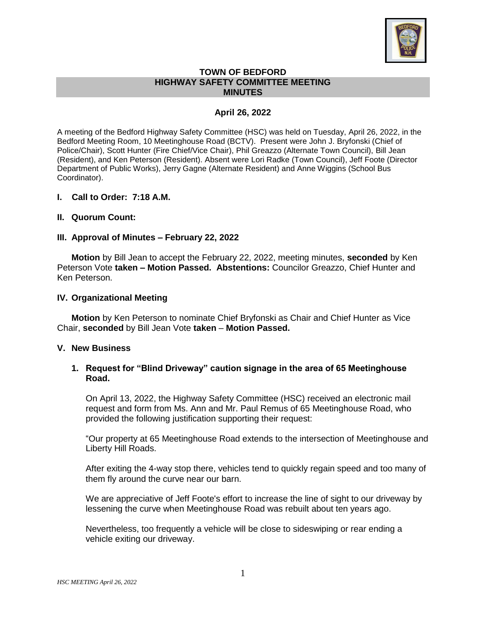

### **TOWN OF BEDFORD HIGHWAY SAFETY COMMITTEE MEETING MINUTES**

# **April 26, 2022**

A meeting of the Bedford Highway Safety Committee (HSC) was held on Tuesday, April 26, 2022, in the Bedford Meeting Room, 10 Meetinghouse Road (BCTV). Present were John J. Bryfonski (Chief of Police/Chair), Scott Hunter (Fire Chief/Vice Chair), Phil Greazzo (Alternate Town Council), Bill Jean (Resident), and Ken Peterson (Resident). Absent were Lori Radke (Town Council), Jeff Foote (Director Department of Public Works), Jerry Gagne (Alternate Resident) and Anne Wiggins (School Bus Coordinator).

#### **I. Call to Order: 7:18 A.M.**

#### **II. Quorum Count:**

#### **III. Approval of Minutes – February 22, 2022**

**Motion** by Bill Jean to accept the February 22, 2022, meeting minutes, **seconded** by Ken Peterson Vote **taken – Motion Passed. Abstentions:** Councilor Greazzo, Chief Hunter and Ken Peterson.

#### **IV. Organizational Meeting**

**Motion** by Ken Peterson to nominate Chief Bryfonski as Chair and Chief Hunter as Vice Chair, **seconded** by Bill Jean Vote **taken** – **Motion Passed.**

#### **V. New Business**

# **1. Request for "Blind Driveway" caution signage in the area of 65 Meetinghouse Road.**

On April 13, 2022, the Highway Safety Committee (HSC) received an electronic mail request and form from Ms. Ann and Mr. Paul Remus of 65 Meetinghouse Road, who provided the following justification supporting their request:

"Our property at 65 Meetinghouse Road extends to the intersection of Meetinghouse and Liberty Hill Roads.

After exiting the 4-way stop there, vehicles tend to quickly regain speed and too many of them fly around the curve near our barn.

We are appreciative of Jeff Foote's effort to increase the line of sight to our driveway by lessening the curve when Meetinghouse Road was rebuilt about ten years ago.

Nevertheless, too frequently a vehicle will be close to sideswiping or rear ending a vehicle exiting our driveway.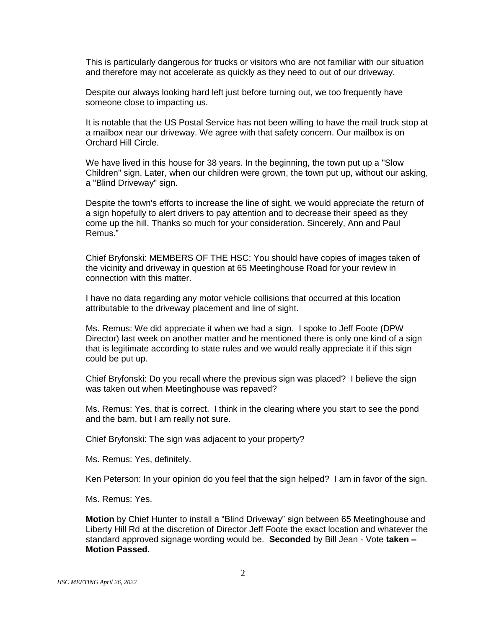This is particularly dangerous for trucks or visitors who are not familiar with our situation and therefore may not accelerate as quickly as they need to out of our driveway.

Despite our always looking hard left just before turning out, we too frequently have someone close to impacting us.

It is notable that the US Postal Service has not been willing to have the mail truck stop at a mailbox near our driveway. We agree with that safety concern. Our mailbox is on Orchard Hill Circle.

We have lived in this house for 38 years. In the beginning, the town put up a "Slow Children" sign. Later, when our children were grown, the town put up, without our asking, a "Blind Driveway" sign.

Despite the town's efforts to increase the line of sight, we would appreciate the return of a sign hopefully to alert drivers to pay attention and to decrease their speed as they come up the hill. Thanks so much for your consideration. Sincerely, Ann and Paul Remus."

Chief Bryfonski: MEMBERS OF THE HSC: You should have copies of images taken of the vicinity and driveway in question at 65 Meetinghouse Road for your review in connection with this matter.

I have no data regarding any motor vehicle collisions that occurred at this location attributable to the driveway placement and line of sight.

Ms. Remus: We did appreciate it when we had a sign. I spoke to Jeff Foote (DPW Director) last week on another matter and he mentioned there is only one kind of a sign that is legitimate according to state rules and we would really appreciate it if this sign could be put up.

Chief Bryfonski: Do you recall where the previous sign was placed? I believe the sign was taken out when Meetinghouse was repaved?

Ms. Remus: Yes, that is correct. I think in the clearing where you start to see the pond and the barn, but I am really not sure.

Chief Bryfonski: The sign was adjacent to your property?

Ms. Remus: Yes, definitely.

Ken Peterson: In your opinion do you feel that the sign helped? I am in favor of the sign.

Ms. Remus: Yes.

**Motion** by Chief Hunter to install a "Blind Driveway" sign between 65 Meetinghouse and Liberty Hill Rd at the discretion of Director Jeff Foote the exact location and whatever the standard approved signage wording would be. **Seconded** by Bill Jean - Vote **taken – Motion Passed.**